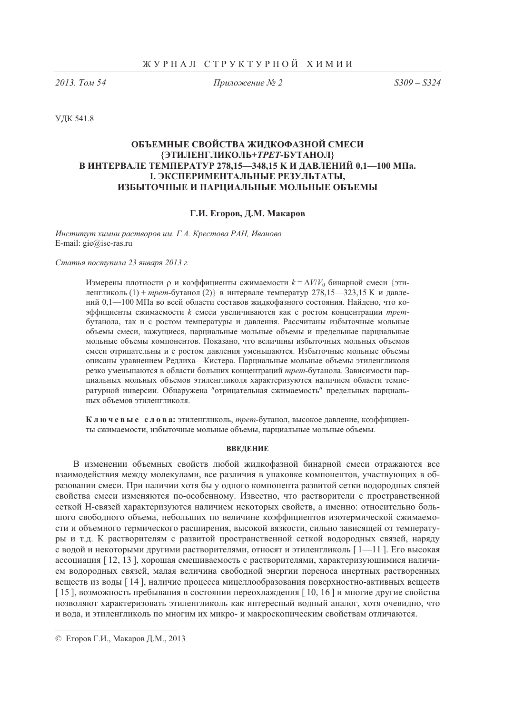2013 Tom 54

Приложение № 2

 $S309 - S324$ 

УДК 541.8

# ОБЪЕМНЫЕ СВОЙСТВА ЖИЛКОФАЗНОЙ СМЕСИ {ЭТИЛЕНГЛИКОЛЬ+ТРЕТ-БУТАНОЛ} В ИНТЕРВАЛЕ ТЕМПЕРАТУР 278,15-348,15 К И ДАВЛЕНИЙ 0,1-100 МПа. І. ЭКСПЕРИМЕНТАЛЬНЫЕ РЕЗУЛЬТАТЫ. ИЗБЫТОЧНЫЕ И ПАРЦИАЛЬНЫЕ МОЛЬНЫЕ ОБЪЕМЫ

## Г.И. Егоров, Д.М. Макаров

Институт химии растворов им. Г.А. Крестова РАН, Иваново E-mail:  $\text{gie@}$ isc-ras.ru

Статья поступила 23 января 2013 г.

Измерены плотности р и коэффициенты сжимаемости  $k = \Delta V/V_0$  бинарной смеси  $\{3\pi V_0 + \Delta V_1 + \Delta V_2 + \Delta V_3\}$ ленгликоль (1) + трет-бутанол (2) в интервале температур 278,15—323,15 К и давлений 0,1—100 МПа во всей области составов жидкофазного состояния. Найдено, что коэффициенты сжимаемости  $k$  смеси увеличиваются как с ростом концентрации третбутанола, так и с ростом температуры и давления. Рассчитаны избыточные мольные объемы смеси, кажущиеся, парциальные мольные объемы и предельные парциальные мольные объемы компонентов. Показано, что величины избыточных мольных объемов смеси отрицательны и с ростом давления уменьшаются. Избыточные мольные объемы описаны уравнением Редлиха-Кистера. Парциальные мольные объемы этиленгликоля резко уменьшаются в области больших концентраций трет-бутанола. Зависимости парциальных мольных объемов этиленгликоля характеризуются наличием области температурной инверсии. Обнаружена "отрицательная сжимаемость" предельных парциальных объемов этиленгликоля.

Ключевые слова: этиленгликоль, трет-бутанол, высокое давление, коэффициенты сжимаемости, избыточные мольные объемы, парциальные мольные объемы.

## **ВВЕДЕНИЕ**

В изменении объемных свойств любой жидкофазной бинарной смеси отражаются все взаимодействия между молекулами, все различия в упаковке компонентов, участвующих в образовании смеси. При наличии хотя бы у одного компонента развитой сетки водородных связей свойства смеси изменяются по-особенному. Известно, что растворители с пространственной сеткой Н-связей характеризуются наличием некоторых свойств, а именно: относительно большого свободного объема, небольших по величине коэффициентов изотермической сжимаемости и объемного термического расширения, высокой вязкости, сильно зависящей от температуры и т.д. К растворителям с развитой пространственной сеткой водородных связей, наряду с водой и некоторыми другими растворителями, относят и этиленгликоль [1-11]. Его высокая ассоциация [12, 13], хорошая смешиваемость с растворителями, характеризующимися наличием водородных связей, малая величина свободной энергии переноса инертных растворенных веществ из воды [14], наличие процесса мицеллообразования поверхностно-активных веществ [15], возможность пребывания в состоянии переохлаждения [10, 16] и многие другие свойства позволяют характеризовать этиленгликоль как интересный водный аналог, хотя очевидно, что и вода, и этиленгликоль по многим их микро- и макроскопическим свойствам отличаются.

<sup>©</sup> Егоров Г.И., Макаров Д.М., 2013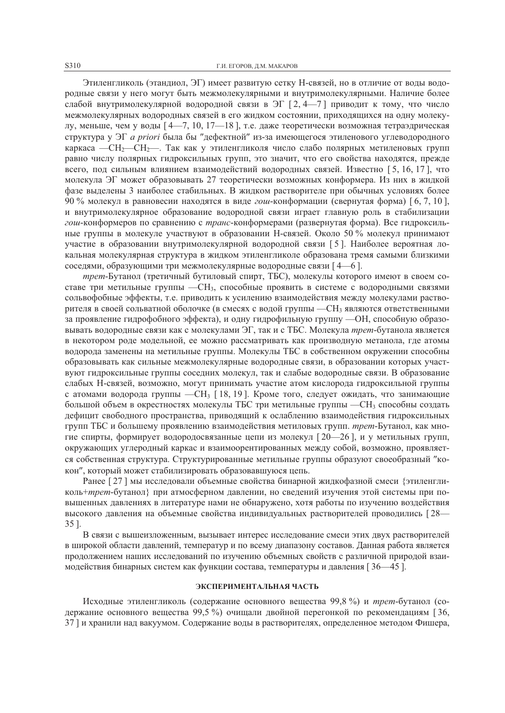Этиленгликоль (этандиол, ЭГ) имеет развитую сетку Н-связей, но в отличие от воды водородные связи у него могут быть межмолекулярными и внутримолекулярными. Наличие более слабой внутримолекулярной водородной связи в ЭГ [2, 4-7] приводит к тому, что число межмолекулярных водородных связей в его жидком состоянии, приходящихся на одну молекулу, меньше, чем у воды  $[4-7, 10, 17-18]$ , т.е. даже теоретически возможная тетраэдрическая структура у ЭГ *а priori* была бы "дефектной" из-за имеющегося этиленового углеводородного каркаса — СН<sub>2</sub>— СН<sub>2</sub>—. Так как у этиленгликоля число слабо полярных метиленовых групп равно числу полярных гидроксильных групп, это значит, что его свойства находятся, прежде всего, под сильным влиянием взаимодействий водородных связей. Известно [5, 16, 17], что молекула ЭГ может образовывать 27 теоретически возможных конформера. Из них в жидкой фазе выделены 3 наиболее стабильных. В жидком растворителе при обычных условиях более 90 % молекул в равновесии находятся в виде *гош*-конформации (свернутая форма) [6, 7, 10], и внутримолекулярное образование водородной связи играет главную роль в стабилизации гош-конформеров по сравнению с транс-конформерами (развернутая форма). Все гидроксильные группы в молекуле участвуют в образовании Н-связей. Около 50 % молекул принимают участие в образовании внутримолекулярной водородной связи [5]. Наиболее вероятная локальная молекулярная структура в жидком этиленгликоле образована тремя самыми близкими соседями, образующими три межмолекулярные водородные связи [4-6].

трет-Бутанол (третичный бутиловый спирт, ТБС), молекулы которого имеют в своем составе три метильные группы — CH<sub>3</sub>, способные проявить в системе с водородными связями сольвофобные эффекты, т.е. приводить к усилению взаимодействия между молекулами растворителя в своей сольватной оболочке (в смесях с водой группы — CH<sub>3</sub> являются ответственными за проявление гидрофобного эффекта), и одну гидрофильную группу - ОН, способную образовывать водородные связи как с молекулами ЭГ, так и с ТБС. Молекула трет-бутанола является в некотором роде модельной, ее можно рассматривать как производную метанола, где атомы водорода заменены на метильные группы. Молекулы ТБС в собственном окружении способны образовывать как сильные межмолекулярные водородные связи, в образовании которых участвуют гидроксильные группы соседних молекул, так и слабые водородные связи. В образование слабых Н-связей, возможно, могут принимать участие атом кислорода гидроксильной группы с атомами водорода группы — CH<sub>3</sub> [18, 19]. Кроме того, следует ожидать, что занимающие большой объем в окрестностях молекулы ТБС три метильные группы — СН<sub>з</sub> способны создать дефицит свободного пространства, приводящий к ослаблению взаимодействия гидроксильных групп ТБС и большему проявлению взаимодействия метиловых групп. трет-Бутанол, как многие спирты, формирует водородосвязанные цепи из молекул [20—26], и у метильных групп, окружающих углеродный каркас и взаимоорентированных между собой, возможно, проявляется собственная структура. Структурированные метильные группы образуют своеобразный "кокон", который может стабилизировать образовавшуюся цепь.

Ранее [27] мы исследовали объемные свойства бинарной жидкофазной смеси {этиленгликоль+трет-бутанол} при атмосферном давлении, но сведений изучения этой системы при повышенных давлениях в литературе нами не обнаружено, хотя работы по изучению воздействия высокого давления на объемные свойства индивидуальных растворителей проводились [28- $35$ ].

В связи с вышеизложенным, вызывает интерес исследование смеси этих двух растворителей в широкой области давлений, температур и по всему диапазону составов. Данная работа является продолжением наших исследований по изучению объемных свойств с различной природой взаимодействия бинарных систем как функции состава, температуры и давления [36—45].

#### ЭКСПЕРИМЕНТАЛЬНАЯ ЧАСТЬ

Исходные этиленгликоль (содержание основного вещества 99,8 %) и трет-бутанол (содержание основного вещества 99,5 %) очищали двойной перегонкой по рекомендациям [36, 37 и хранили над вакуумом. Содержание воды в растворителях, определенное методом Фишера,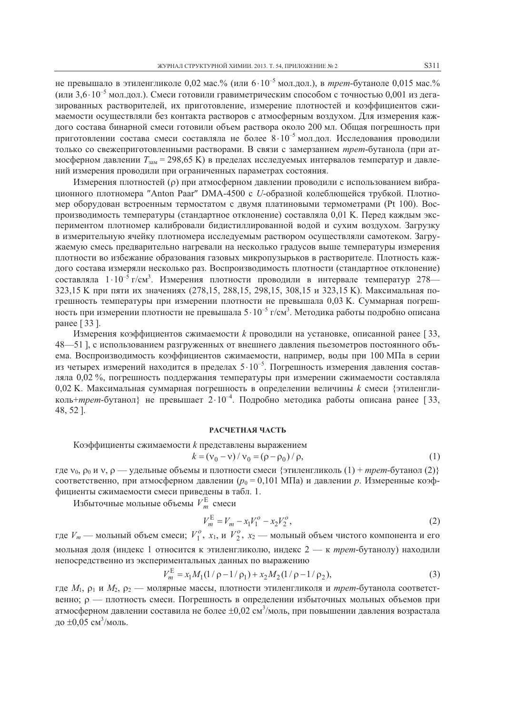не превышало в этиленгликоле 0,02 мас.% (или  $6.10^{-5}$  мол.дол.), в *трет*-бутаноле 0,015 мас.% (или 3,6 $\cdot 10^{-5}$  мол.дол.). Смеси готовили гравиметрическим способом с точностью 0,001 из дегазированных растворителей, их приготовление, измерение плотностей и коэффициентов сжимаемости осуществляли без контакта растворов с атмосферным воздухом. Для измерения каждого состава бинарной смеси готовили объем раствора около 200 мл. Общая погрешность при приготовлении состава смеси составляла не более  $8 \cdot 10^{-5}$  мол.дол. Исследования проводили только со свежеприготовленными растворами. В связи с замерзанием *трет*-бутанола (при атмосферном давлении  $T_{\text{3aM}} = 298,65 \text{ K}$ ) в пределах исследуемых интервалов температур и давлений измерения проводили при ограниченных параметрах состояния.

Измерения плотностей (р) при атмосферном давлении проводили с использованием вибрационного плотномера "Anton Paar" DMA-4500 с U-образной колеблющейся трубкой. Плотномер оборудован встроенным термостатом с двумя платиновыми термометрами (Pt 100). Воспроизводимость температуры (стандартное отклонение) составляла 0,01 К. Перед каждым экспериментом плотномер калибровали бидистиллированной водой и сухим воздухом. Загрузку в измерительную ячейку плотномера исследуемым раствором осуществляли самотеком. Загружаемую смесь предварительно нагревали на несколько градусов выше температуры измерения плотности во избежание образования газовых микропузырьков в растворителе. Плотность каждого состава измеряли несколько раз. Воспроизводимость плотности (стандартное отклонение) составляла  $1.10^{-5}$  г/см<sup>3</sup>. Измерения плотности проводили в интервале температур 278— 323,15 К при пяти их значениях (278,15, 288,15, 298,15, 308,15 и 323,15 К). Максимальная погрешность температуры при измерении плотности не превышала 0,03 К. Суммарная погрешность при измерении плотности не превышала  $5 \cdot 10^{-5}$  г/см<sup>3</sup>. Методика работы подробно описана ранее [33].

Измерения коэффициентов сжимаемости *k* проводили на установке, описанной ранее [33, 48-51], с использованием разгруженных от внешнего давления пьезометров постоянного объема. Воспроизводимость коэффициентов сжимаемости, например, воды при 100 МПа в серии из четырех измерений находится в пределах  $5 \cdot 10^{-5}$ . Погрешность измерения давления составляла 0.02 %, погрешность поллержания температуры при измерении сжимаемости составляла 0,02 К. Максимальная суммарная погрешность в определении величины  $k$  смеси {этиленгликоль+*трет*-бутанол} не превышает 2·10<sup>-4</sup>. Подробно методика работы описана ранее [33, 48, 52].

### РАСЧЕТНАЯ ЧАСТЬ

Коэффициенты сжимаемости к представлены выражением

$$
k = (v_0 - v) / v_0 = (\rho - \rho_0) / \rho,
$$
 (1)

где  $v_0$ ,  $\rho_0$  и v,  $\rho$  — удельные объемы и плотности смеси {этиленгликоль (1) + *трет*-бутанол (2)} соответственно, при атмосферном давлении ( $p_0 = 0,101$  МПа) и давлении р. Измеренные коэффициенты сжимаемости смеси приведены в табл. 1.

Избыточные мольные объемы  $V_m^{\text{E}}$  смеси

$$
V_m^{\rm E} = V_m - x_1 V_1^o - x_2 V_2^o,
$$
\n(2)

где  $V_m$  — мольный объем смеси;  $V_1^o$ ,  $x_1$ , и  $V_2^o$ ,  $x_2$  — мольный объем чистого компонента и его мольная доля (индекс 1 относится к этиленгликолю, индекс 2 - к трет-бутанолу) находили непосредственно из экспериментальных данных по выражению

$$
V_m^{\text{E}} = x_1 M_1 (1/\rho - 1/\rho_1) + x_2 M_2 (1/\rho - 1/\rho_2),
$$
\n(3)

где  $M_1$ ,  $\rho_1$  и  $M_2$ ,  $\rho_2$  — молярные массы, плотности этиленгликоля и *трет*-бутанола соответственно; р — плотность смеси. Погрешность в определении избыточных мольных объемов при атмосферном давлении составила не более  $\pm 0.02$  см<sup>3</sup>/моль, при повышении давления возрастала ло  $\pm 0.05$  см<sup>3</sup>/моль.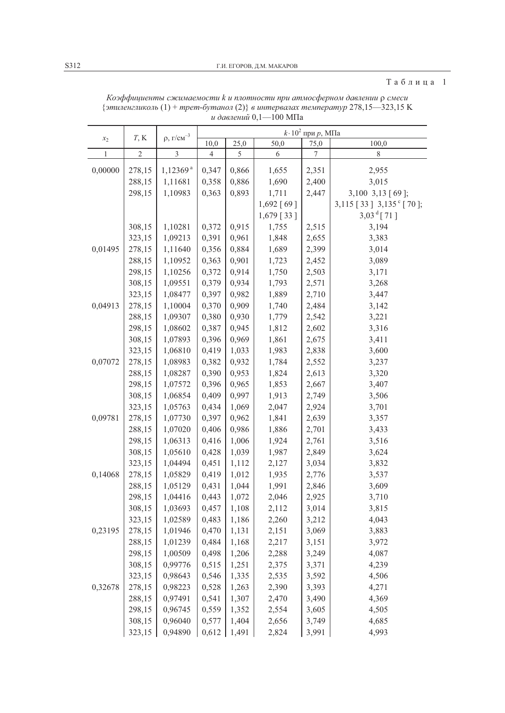Таблица 1

|         |                  |                        |                | $k \cdot 10^2$ при р, МПа |                |                |                                       |  |  |
|---------|------------------|------------------------|----------------|---------------------------|----------------|----------------|---------------------------------------|--|--|
| $x_2$   | $T$ , K          | $\rho$ , $r/cm^{-3}$   | 10,0           | 25,0                      | 50,0           | 75,0           | 100,0                                 |  |  |
| 1       | $\sqrt{2}$       | $\mathfrak{Z}$         | $\overline{4}$ | $\mathfrak{S}$            | $\sqrt{6}$     | 7              | $\,$ 8 $\,$                           |  |  |
| 0,00000 | 278,15           | $1,12369$ <sup>a</sup> | 0,347          | 0,866                     | 1,655          | 2,351          | 2,955                                 |  |  |
|         | 288,15           | 1,11681                | 0,358          | 0,886                     | 1,690          | 2,400          | 3,015                                 |  |  |
|         | 298,15           | 1,10983                | 0,363          | 0,893                     | 1,711          | 2,447          | 3,100 3,13 [69];                      |  |  |
|         |                  |                        |                |                           | $1,692$ [69]   |                | 3,115 [33] $3,135$ <sup>c</sup> [70]; |  |  |
|         |                  |                        |                |                           | $1,679$ [33]   |                | 3,03 $\mathrm{^{d}}$ [71]             |  |  |
|         | 308,15           | 1,10281                | 0,372          | 0,915                     | 1,755          | 2,515          | 3,194                                 |  |  |
|         | 323,15           | 1,09213                | 0,391          | 0,961                     | 1,848          | 2,655          | 3,383                                 |  |  |
| 0,01495 | 278,15           | 1,11640                | 0,356          | 0,884                     | 1,689          | 2,399          | 3,014                                 |  |  |
|         | 288,15           | 1,10952                | 0,363          | 0,901                     | 1,723          | 2,452          | 3,089                                 |  |  |
|         | 298,15           | 1,10256                | 0,372          | 0,914                     | 1,750          | 2,503          | 3,171                                 |  |  |
|         | 308,15           | 1,09551                | 0,379          | 0,934                     | 1,793          | 2,571          | 3,268                                 |  |  |
|         | 323,15           | 1,08477                | 0,397          | 0,982                     | 1,889          | 2,710          | 3,447                                 |  |  |
| 0,04913 | 278,15           | 1,10004                | 0,370          | 0,909                     | 1,740          | 2,484          | 3,142                                 |  |  |
|         | 288,15           | 1,09307                | 0,380          | 0,930                     | 1,779          | 2,542          | 3,221                                 |  |  |
|         | 298,15           | 1,08602                | 0,387          | 0,945                     | 1,812          | 2,602          | 3,316                                 |  |  |
|         | 308,15           | 1,07893                | 0,396          | 0,969                     | 1,861          | 2,675          | 3,411                                 |  |  |
|         | 323,15           | 1,06810                | 0,419          | 1,033                     | 1,983          | 2,838          | 3,600                                 |  |  |
| 0,07072 | 278,15           | 1,08983                | 0,382          | 0,932                     | 1,784          | 2,552          | 3,237                                 |  |  |
|         | 288,15           | 1,08287                | 0,390          | 0,953                     | 1,824          | 2,613          | 3,320                                 |  |  |
|         | 298,15           | 1,07572                | 0,396          | 0,965                     | 1,853          | 2,667          | 3,407                                 |  |  |
|         | 308,15           | 1,06854                | 0,409          | 0,997                     | 1,913          | 2,749          | 3,506                                 |  |  |
|         | 323,15           | 1,05763                | 0,434          | 1,069                     | 2,047          | 2,924          | 3,701                                 |  |  |
| 0,09781 | 278,15           | 1,07730                | 0,397          | 0,962                     | 1,841          | 2,639          | 3,357                                 |  |  |
|         | 288,15           | 1,07020                | 0,406          | 0,986                     | 1,886          | 2,701          | 3,433                                 |  |  |
|         | 298,15           | 1,06313                | 0,416          | 1,006                     | 1,924          | 2,761          | 3,516                                 |  |  |
|         | 308,15           | 1,05610                | 0,428          | 1,039                     | 1,987          | 2,849          | 3,624                                 |  |  |
|         | 323,15           | 1,04494                | 0,451          | 1,112                     | 2,127          | 3,034          | 3,832                                 |  |  |
| 0,14068 | 278,15           | 1,05829                | 0,419          | 1,012                     | 1,935          | 2,776          | 3,537                                 |  |  |
|         | 288,15           | 1,05129                | 0,431          | 1,044                     | 1,991          | 2,846          | 3,609                                 |  |  |
|         | 298,15           | 1,04416                | 0,443          | 1,072                     | 2,046          | 2,925          | 3,710                                 |  |  |
|         | 308,15           | 1,03693                | 0,457          | 1,108                     | 2,112          | 3,014          | 3,815                                 |  |  |
|         | 323,15           | 1,02589                | 0,483          | 1,186                     | 2,260          | 3,212          | 4,043                                 |  |  |
| 0,23195 | 278,15           | 1,01946                | 0,470          | 1,131                     | 2,151          | 3,069          | 3,883                                 |  |  |
|         | 288,15           | 1,01239                | 0,484          | 1,168                     | 2,217          | 3,151          | 3,972                                 |  |  |
|         | 298,15           | 1,00509                | 0,498          | 1,206                     | 2,288          | 3,249          | 4,087                                 |  |  |
|         | 308,15           | 0,99776                | 0,515          | 1,251                     | 2,375          | 3,371          | 4,239                                 |  |  |
|         | 323,15           | 0,98643                | 0,546          | 1,335                     | 2,535          | 3,592<br>3,393 | 4,506                                 |  |  |
| 0,32678 | 278,15<br>288,15 | 0,98223<br>0,97491     | 0,528<br>0,541 | 1,263<br>1,307            | 2,390<br>2,470 | 3,490          | 4,271<br>4,369                        |  |  |
|         | 298,15           | 0,96745                | 0,559          | 1,352                     | 2,554          | 3,605          | 4,505                                 |  |  |
|         | 308,15           | 0,96040                | 0,577          | 1,404                     | 2,656          | 3,749          | 4,685                                 |  |  |
|         | 323,15           | 0,94890                | 0,612          | 1,491                     | 2,824          | 3,991          | 4,993                                 |  |  |
|         |                  |                        |                |                           |                |                |                                       |  |  |

Коэффициенты сжимаемости к и плотности при атмосферном давлении р смеси  $\{3m$ иленгликоль (1) + трет-бутанол (2)} в интервалах температур 278,15—323,15 К и давлений  $0,1-100$  МПа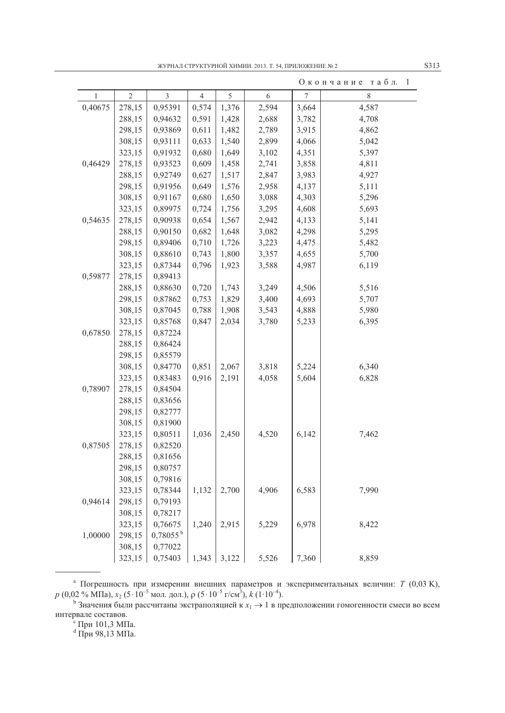|         |                  |                            |                |       |       |       | $\mathbf{1}$<br>табл.<br>Окончание |
|---------|------------------|----------------------------|----------------|-------|-------|-------|------------------------------------|
| 1       | $\overline{2}$   | 3                          | $\overline{4}$ | 5     | 6     | 7     | $\,$ $\,$                          |
| 0,40675 | 278,15           | 0,95391                    | 0,574          | 1,376 | 2,594 | 3,664 | 4,587                              |
|         | 288,15           | 0,94632                    | 0,591          | 1,428 | 2,688 | 3,782 | 4,708                              |
|         | 298,15           | 0,93869                    | 0,611          | 1,482 | 2,789 | 3,915 | 4,862                              |
|         | 308,15           | 0,93111                    | 0,633          | 1,540 | 2,899 | 4,066 | 5,042                              |
|         | 323,15           | 0,91932                    | 0,680          | 1,649 | 3,102 | 4,351 | 5,397                              |
| 0,46429 | 278,15           | 0,93523                    | 0,609          | 1,458 | 2,741 | 3,858 | 4,811                              |
|         | 288,15           | 0,92749                    | 0,627          | 1,517 | 2,847 | 3,983 | 4,927                              |
|         | 298,15           | 0,91956                    | 0,649          | 1,576 | 2,958 | 4,137 | 5,111                              |
|         | 308,15           | 0,91167                    | 0,680          | 1,650 | 3,088 | 4,303 | 5,296                              |
|         | 323,15           | 0,89975                    | 0,724          | 1,756 | 3,295 | 4,608 | 5,693                              |
| 0,54635 | 278,15           | 0,90938                    | 0,654          | 1,567 | 2,942 | 4,133 | 5,141                              |
|         | 288,15           | 0,90150                    | 0,682          | 1,648 | 3,082 | 4,298 | 5,295                              |
|         | 298,15           | 0,89406                    | 0,710          | 1,726 | 3,223 | 4,475 | 5,482                              |
|         | 308,15           | 0,88610                    | 0,743          | 1,800 | 3,357 | 4,655 | 5,700                              |
|         | 323,15           | 0,87344                    | 0,796          | 1,923 | 3,588 | 4,987 | 6,119                              |
| 0,59877 | 278,15           | 0,89413                    |                |       |       |       |                                    |
|         | 288,15           | 0,88630                    | 0,720          | 1,743 | 3,249 | 4,506 | 5,516                              |
|         | 298,15           | 0,87862                    | 0,753          | 1,829 | 3,400 | 4,693 | 5,707                              |
|         | 308,15           | 0,87045                    | 0,788          | 1,908 | 3,543 | 4,888 | 5,980                              |
|         | 323,15           | 0,85768                    | 0,847          | 2,034 | 3,780 | 5,233 | 6,395                              |
| 0,67850 | 278,15           | 0,87224                    |                |       |       |       |                                    |
|         | 288,15           | 0,86424                    |                |       |       |       |                                    |
|         | 298,15           | 0,85579                    |                |       |       |       |                                    |
|         | 308,15           | 0,84770                    | 0,851          | 2,067 | 3,818 | 5,224 | 6,340                              |
|         | 323,15           | 0,83483                    | 0,916          | 2,191 | 4,058 | 5,604 | 6,828                              |
| 0,78907 | 278,15           | 0,84504                    |                |       |       |       |                                    |
|         | 288,15           | 0,83656                    |                |       |       |       |                                    |
|         | 298,15           | 0,82777                    |                |       |       |       |                                    |
|         | 308,15           | 0,81900                    |                |       |       |       |                                    |
|         | 323,15           | 0,80511                    | 1,036          | 2,450 | 4,520 | 6,142 | 7,462                              |
| 0,87505 | 278,15           | 0,82520                    |                |       |       |       |                                    |
|         | 288,15           | 0,81656                    |                |       |       |       |                                    |
|         | 298,15           | 0,80757                    |                |       |       |       |                                    |
|         | 308,15           | 0,79816                    |                |       |       |       |                                    |
|         | 323,15           | 0,78344                    | 1,132          | 2,700 | 4,906 | 6,583 | 7,990                              |
| 0,94614 | 298,15           | 0,79193                    |                |       |       |       |                                    |
|         | 308,15<br>323,15 | 0,78217                    |                | 2,915 |       |       |                                    |
| 1,00000 | 298,15           | 0,76675<br>$0,78055^{\,b}$ | 1,240          |       | 5,229 | 6,978 | 8,422                              |
|         | 308,15           | 0,77022                    |                |       |       |       |                                    |
|         | 323,15           | 0,75403                    | 1,343          | 3,122 | 5,526 | 7,360 | 8,859                              |
|         |                  |                            |                |       |       |       |                                    |

<sup>а</sup> Погрешность при измерении внешних параметров и экспериментальных величин:  $T$  (0,03 K),  $p$  (0,02 % МПа),  $x_2$  (5·10<sup>-5</sup> мол. дол.),  $\rho$  (5·10<sup>-5</sup> г/см<sup>3</sup>),  $k$  (1·10<sup>-4</sup>).<br><sup>b</sup> Значения были рассчитаны экстраполяцией к  $x_1 \rightarrow 1$  в предположении гомогенности смеси во всем

интервале составов.<br>
<sup>с</sup> При 101,3 МПа.<br>
<sup>d</sup> При 98,13 МПа.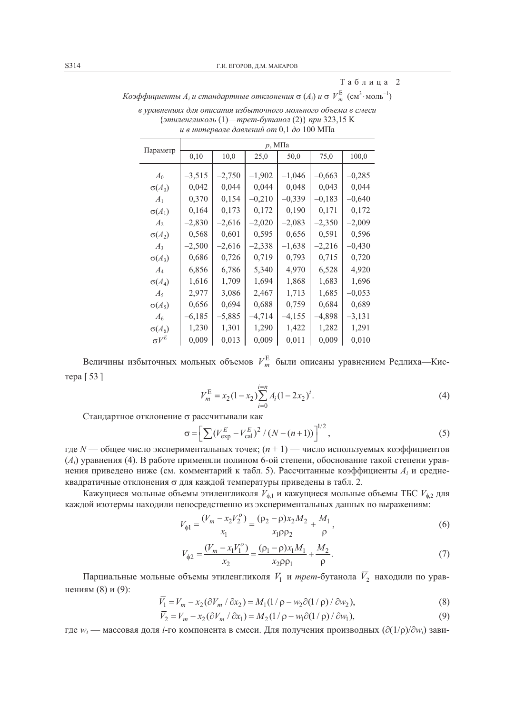Таблица 2  $\mathbf{r}$ 

 $\sim$ 

|  |  |  | Коэффициенты $A_i$ и стандартные отклонения $\sigma(A_i)$ и $\sigma V_m^{\sigma}$ (см <sup>3</sup> моль <sup>-1</sup> ) |  |  |  |  |  |  |  |
|--|--|--|-------------------------------------------------------------------------------------------------------------------------|--|--|--|--|--|--|--|
|--|--|--|-------------------------------------------------------------------------------------------------------------------------|--|--|--|--|--|--|--|

|                | $p$ , M $\Pi$ a |          |          |          |          |          |  |  |  |  |  |
|----------------|-----------------|----------|----------|----------|----------|----------|--|--|--|--|--|
| Параметр       | 0,10            | 10,0     | 25,0     | 50,0     | 75,0     | 100,0    |  |  |  |  |  |
| $A_0$          | $-3,515$        | $-2,750$ | $-1,902$ | $-1,046$ | $-0,663$ | $-0,285$ |  |  |  |  |  |
| $\sigma(A_0)$  | 0,042           | 0,044    | 0,044    | 0,048    | 0,043    | 0,044    |  |  |  |  |  |
| A <sub>1</sub> | 0,370           | 0,154    | $-0,210$ | $-0,339$ | $-0,183$ | $-0,640$ |  |  |  |  |  |
| $\sigma(A_1)$  | 0,164           | 0,173    | 0,172    | 0,190    | 0,171    | 0,172    |  |  |  |  |  |
| $A_2$          | $-2,830$        | $-2,616$ | $-2,020$ | $-2,083$ | $-2,350$ | $-2,009$ |  |  |  |  |  |
| $\sigma(A_2)$  | 0,568           | 0,601    | 0,595    | 0,656    | 0,591    | 0,596    |  |  |  |  |  |
| $A_3$          | $-2,500$        | $-2,616$ | $-2,338$ | $-1,638$ | $-2,216$ | $-0,430$ |  |  |  |  |  |
| $\sigma(A_3)$  | 0,686           | 0,726    | 0,719    | 0,793    | 0,715    | 0,720    |  |  |  |  |  |
| $A_4$          | 6,856           | 6,786    | 5,340    | 4,970    | 6,528    | 4,920    |  |  |  |  |  |
| $\sigma(A_4)$  | 1,616           | 1,709    | 1,694    | 1,868    | 1,683    | 1,696    |  |  |  |  |  |
| $A_5$          | 2,977           | 3,086    | 2,467    | 1,713    | 1,685    | $-0,053$ |  |  |  |  |  |
| $\sigma(A_5)$  | 0,656           | 0,694    | 0,688    | 0,759    | 0,684    | 0,689    |  |  |  |  |  |
| $A_6$          | $-6,185$        | $-5,885$ | $-4,714$ | $-4,155$ | –4,898   | $-3,131$ |  |  |  |  |  |
| $\sigma(A_6)$  | 1,230           | 1,301    | 1,290    | 1,422    | 1,282    | 1,291    |  |  |  |  |  |
| $\sigma V^E$   | 0,009           | 0,013    | 0,009    | 0,011    | 0,009    | 0,010    |  |  |  |  |  |

в уравнениях для описания избыточного мольного объема в смеси  ${5mm}$ ленгликоль (1)—трет-бутанол (2)} при 323,15 К и в интервале давлений от 0,1 до 100 МПа

Величины избыточных мольных объемов  $V_m^{\rm E}$  были описаны уравнением Редлиха—Кистера [53]

$$
V_m^{\rm E} = x_2 (1 - x_2) \sum_{i=0}^{i=n} A_i (1 - 2x_2)^i.
$$
 (4)

Стандартное отклонение о рассчитывали как

$$
\sigma = \left[ \sum (V_{\text{exp}}^{E} - V_{\text{cal}}^{E})^{2} / (N - (n+1)) \right]^{1/2}, \tag{5}
$$

где  $N$  — общее число экспериментальных точек;  $(n + 1)$  — число используемых коэффициентов  $(A_i)$  уравнения (4). В работе применяли полином 6-ой степени, обоснование такой степени уравнения приведено ниже (см. комментарий к табл. 5). Рассчитанные коэффициенты  $A_i$  и среднеквадратичные отклонения о для каждой температуры приведены в табл. 2.

Кажущиеся мольные объемы этиленгликоля  $V_{\phi,1}$  и кажущиеся мольные объемы ТБС  $V_{\phi,2}$  для каждой изотермы находили непосредственно из экспериментальных данных по выражениям:

$$
V_{\phi 1} = \frac{(V_m - x_2 V_2^o)}{x_1} = \frac{(\rho_2 - \rho)x_2 M_2}{x_1 \rho \rho_2} + \frac{M_1}{\rho},\tag{6}
$$

$$
V_{\phi 2} = \frac{(V_m - x_1 V_1^o)}{x_2} = \frac{(\rho_1 - \rho)x_1 M_1}{x_2 \rho \rho_1} + \frac{M_2}{\rho}.
$$
 (7)

Парциальные мольные объемы этиленгликоля  $\bar{V}_1$  и *трет*-бутанола  $\bar{V}_2$  находили по уравнениям (8) и (9):

$$
\overline{V_1} = V_m - x_2 (\partial V_m / \partial x_2) = M_1 (1/\rho - w_2 \partial (1/\rho) / \partial w_2), \tag{8}
$$

$$
\overline{V}_2 = V_m - x_2 (\partial V_m / \partial x_1) = M_2 (1/\rho - w_1 \partial (1/\rho) / \partial w_1),\tag{9}
$$

где  $w_i$  — массовая доля *i*-го компонента в смеси. Для получения производных  $(\partial (1/\rho)/\partial w_i)$  зави-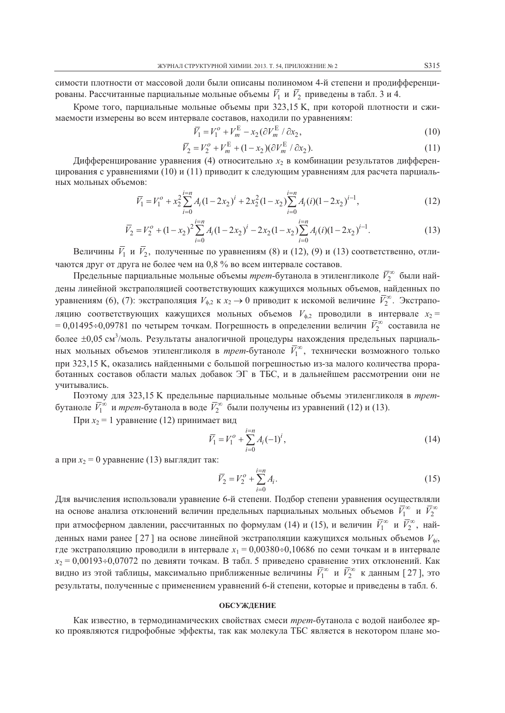симости плотности от массовой доли были описаны полиномом 4-й степени и продифференцированы. Рассчитанные парциальные мольные объемы  $\bar{V}_1$  и  $\bar{V}_2$  приведены в табл. 3 и 4.

Кроме того, парциальные мольные объемы при 323,15 К, при которой плотности и сжимаемости измерены во всем интервале составов, находили по уравнениям:

$$
\overline{V}_1 = V_1^o + V_m^E - x_2 (\partial V_m^E / \partial x_2, \tag{10}
$$

$$
\overline{V}_2 = V_2^o + V_m^E + (1 - x_2)(\partial V_m^E / \partial x_2).
$$
 (11)

Дифференцирование уравнения (4) относительно  $x_2$  в комбинации результатов дифференцирования с уравнениями (10) и (11) приводит к следующим уравнениям для расчета парциальных мольных объемов:

$$
\overline{V}_1 = V_1^o + x_2^2 \sum_{i=0}^{i=n} A_i (1 - 2x_2)^i + 2x_2^2 (1 - x_2) \sum_{i=0}^{i=n} A_i (i) (1 - 2x_2)^{i-1},\tag{12}
$$

$$
\overline{V}_2 = V_2^o + (1 - x_2)^2 \sum_{i=0}^{i=n} A_i (1 - 2x_2)^i - 2x_2 (1 - x_2) \sum_{i=0}^{i=n} A_i (i) (1 - 2x_2)^{i-1}.
$$
\n(13)

Величины  $\bar{V}_1$  и  $\bar{V}_2$ , полученные по уравнениям (8) и (12), (9) и (13) соответственно, отличаются друг от друга не более чем на 0,8 % во всем интервале составов.

Предельные парциальные мольные объемы *трет*-бутанола в этиленгликоле  $\bar{V}_2^{\infty}$  были найдены линейной экстраполяцией соответствующих кажущихся мольных объемов, найденных по уравнениям (6), (7): экстраполяция  $V_{\phi,2}$  к  $x_2 \to 0$  приводит к искомой величине  $\bar{V}_2^{\infty}$ . Экстраполяцию соответствующих кажущихся мольных объемов  $V_{\phi,2}$  проводили в интервале  $x_2$  =  $= 0.01495 \div 0.09781$  по четырем точкам. Погрешность в определении величин  $\bar{V}_2^{\infty}$  составила не более  $\pm 0.05$  см<sup>3</sup>/моль. Результаты аналогичной процедуры нахождения предельных парциальных мольных объемов этиленгликоля в *трет*-бутаноле  $\bar{V}_1^{\infty}$ , технически возможного только при 323,15 К, оказались найденными с большой погрешностью из-за малого количества проработанных составов области малых добавок ЭГ в ТБС, и в дальнейшем рассмотрении они не учитывались.

Поэтому для 323,15 К предельные парциальные мольные объемы этиленгликоля в третбутаноле  $\overline{V_1^{\infty}}$  и *трет*-бутанола в воде  $\overline{V_2^{\infty}}$  были получены из уравнений (12) и (13).

При  $x_2 = 1$  уравнение (12) принимает вид

$$
\overline{V}_1 = V_1^o + \sum_{i=0}^{i=n} A_i (-1)^i,\tag{14}
$$

а при  $x_2 = 0$  уравнение (13) выглядит так:

$$
\overline{V}_2 = V_2^o + \sum_{i=0}^{i=n} A_i.
$$
\n(15)

Для вычисления использовали уравнение 6-й степени. Подбор степени уравнения осуществляли на основе анализа отклонений величин предельных парциальных мольных объемов  $\bar{V}_1^{\infty}$  и  $\bar{V}_2^{\infty}$ при атмосферном давлении, рассчитанных по формулам (14) и (15), и величин  $\bar{V}_1^{\infty}$  и  $\bar{V}_2^{\infty}$ , найденных нами ранее [27] на основе линейной экстраполяции кажущихся мольных объемов  $V_{\phi i}$ , где экстраполяцию проводили в интервале  $x_1 = 0.00380 \div 0.10686$  по семи точкам и в интервале  $x_2 = 0.00193 \div 0.07072$  по девияти точкам. В табл. 5 приведено сравнение этих отклонений. Как видно из этой таблицы, максимально приближенные величины  $\bar{V}_1^{\infty}$  и  $\bar{V}_2^{\infty}$  к данным [27], это результаты, полученные с применением уравнений 6-й степени, которые и приведены в табл. 6.

#### ОБСУЖДЕНИЕ

Как известно, в термодинамических свойствах смеси трет-бутанола с водой наиболее ярко проявляются гидрофобные эффекты, так как молекула ТБС является в некотором плане мо-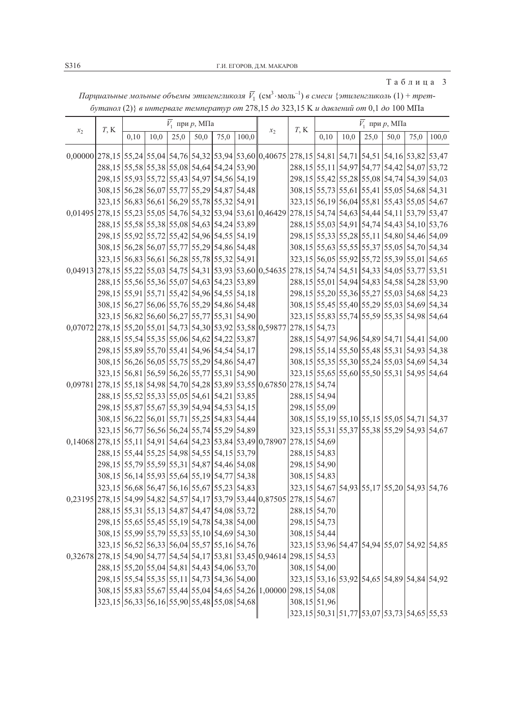Таблица 3

|                                                            |                                                   |      |      |      | $V_1$ при р, МПа |      |       |                                                                                                       |                                                                               |      |      |      | $V_1$ при р, МПа |      |       |
|------------------------------------------------------------|---------------------------------------------------|------|------|------|------------------|------|-------|-------------------------------------------------------------------------------------------------------|-------------------------------------------------------------------------------|------|------|------|------------------|------|-------|
| $x_2$                                                      | T, K                                              | 0,10 | 10,0 | 25,0 | 50,0             | 75,0 | 100,0 | $x_2$                                                                                                 | T, K                                                                          | 0,10 | 10,0 | 25,0 | 50,0             | 75,0 | 100,0 |
|                                                            |                                                   |      |      |      |                  |      |       | 0,00000 278,15 55,24 55,04 54,76 54,32 53,94 53,60 0,40675 278,15 54,81 54,71 54,51 54,16 53,82 53,47 |                                                                               |      |      |      |                  |      |       |
|                                                            | 288,15 55,58 55,38 55,08 54,64 54,24 53,90        |      |      |      |                  |      |       |                                                                                                       | 288, 15 55, 11 54, 97 54, 77 54, 42 54, 07 53, 72                             |      |      |      |                  |      |       |
|                                                            | 298, 15 55, 93 55, 72 55, 43 54, 97 54, 56 54, 19 |      |      |      |                  |      |       |                                                                                                       | 298, 15 55, 42 55, 28 55, 08 54, 74 54, 39 54, 03                             |      |      |      |                  |      |       |
|                                                            | 308, 15 56, 28 56, 07 55, 77 55, 29 54, 87 54, 48 |      |      |      |                  |      |       |                                                                                                       | 308, 15 55, 73 55, 61 55, 41 55, 05 54, 68 54, 31                             |      |      |      |                  |      |       |
|                                                            | 323, 15 56, 83 56, 61 56, 29 55, 78 55, 32 54, 91 |      |      |      |                  |      |       |                                                                                                       | 323, 15 56, 19 56, 04 55, 81 55, 43 55, 05 54, 67                             |      |      |      |                  |      |       |
|                                                            |                                                   |      |      |      |                  |      |       | 0,01495 278,15 55,23 55,05 54,76 54,32 53,94 53,61 0,46429                                            | 278, 15 54, 74 54, 63 54, 44 54, 11 53, 79 53, 47                             |      |      |      |                  |      |       |
|                                                            | 288, 15 55, 58 55, 38 55, 08 54, 63 54, 24 53, 89 |      |      |      |                  |      |       |                                                                                                       | 288, 15 55, 03 54, 91 54, 74 54, 43 54, 10 53, 76                             |      |      |      |                  |      |       |
|                                                            | 298, 15 55, 92 55, 72 55, 42 54, 96 54, 55 54, 19 |      |      |      |                  |      |       |                                                                                                       | 298, 15 55, 33 55, 28 55, 11 54, 80 54, 46 54, 09                             |      |      |      |                  |      |       |
|                                                            | 308,15 56,28 56,07 55,77 55,29 54,86 54,48        |      |      |      |                  |      |       |                                                                                                       | 308,15 55,63 55,55 55,37 55,05 54,70 54,34                                    |      |      |      |                  |      |       |
|                                                            | 323, 15 56, 83 56, 61 56, 28 55, 78 55, 32 54, 91 |      |      |      |                  |      |       |                                                                                                       | 323, 15 56, 05 55, 92 55, 72 55, 39 55, 01 54, 65                             |      |      |      |                  |      |       |
|                                                            |                                                   |      |      |      |                  |      |       | 0,04913 278,15 55,22 55,03 54,75 54,31 53,93 53,60 0,54635                                            | 278, 15 54, 74 54, 51 54, 33 54, 05 53, 77 53, 51                             |      |      |      |                  |      |       |
|                                                            | 288, 15 55, 56 55, 36 55, 07 54, 63 54, 23 53, 89 |      |      |      |                  |      |       |                                                                                                       | 288, 15 55, 01 54, 94 54, 83 54, 58 54, 28 53, 90                             |      |      |      |                  |      |       |
|                                                            | 298, 15 55, 91 55, 71 55, 42 54, 96 54, 55 54, 18 |      |      |      |                  |      |       |                                                                                                       | 298, 15 55, 20 55, 36 55, 27 55, 03 54, 68 54, 23                             |      |      |      |                  |      |       |
|                                                            | 308,15 56,27 56,06 55,76 55,29 54,86 54,48        |      |      |      |                  |      |       |                                                                                                       | 308, 15 55, 45 55, 40 55, 29 55, 03 54, 69 54, 34                             |      |      |      |                  |      |       |
|                                                            | 323, 15 56, 82 56, 60 56, 27 55, 77 55, 31 54, 90 |      |      |      |                  |      |       |                                                                                                       | 323, 15   55, 83   55, 74   55, 59   55, 35   54, 98   54, 64                 |      |      |      |                  |      |       |
| 0,07072                                                    |                                                   |      |      |      |                  |      |       | 278,15 55,20 55,01 54,73 54,30 53,92 53,58 0,59877                                                    | 278, 15 54, 73                                                                |      |      |      |                  |      |       |
|                                                            | 288,15 55,54 55,35 55,06 54,62 54,22 53,87        |      |      |      |                  |      |       |                                                                                                       | 288, 15 54, 97 54, 96 54, 89 54, 71 54, 41 54, 00                             |      |      |      |                  |      |       |
|                                                            | 298,15 55,89 55,70 55,41 54,96 54,54 54,17        |      |      |      |                  |      |       |                                                                                                       | 298, 15 55, 14 55, 50 55, 48 55, 31 54, 93 54, 38                             |      |      |      |                  |      |       |
|                                                            | 308, 15 56, 26 56, 05 55, 75 55, 29 54, 86 54, 47 |      |      |      |                  |      |       |                                                                                                       | 308, 15 55, 35 55, 30 55, 24 55, 03 54, 69 54, 34                             |      |      |      |                  |      |       |
|                                                            | 323, 15 56, 81 56, 59 56, 26 55, 77 55, 31 54, 90 |      |      |      |                  |      |       |                                                                                                       | 323, 15 55, 65 55, 60 55, 50 55, 31 54, 95 54, 64                             |      |      |      |                  |      |       |
|                                                            |                                                   |      |      |      |                  |      |       | 0,09781 278,15 55,18 54,98 54,70 54,28 53,89 53,55 0,67850                                            | 278, 15 54, 74                                                                |      |      |      |                  |      |       |
|                                                            | 288, 15 55, 52 55, 33 55, 05 54, 61 54, 21 53, 85 |      |      |      |                  |      |       |                                                                                                       | 288,15 54,94                                                                  |      |      |      |                  |      |       |
|                                                            | 298, 15 55, 87 55, 67 55, 39 54, 94 54, 53 54, 15 |      |      |      |                  |      |       |                                                                                                       | 298,15 55,09                                                                  |      |      |      |                  |      |       |
|                                                            | 308, 15 56, 22 56, 01 55, 71 55, 25 54, 83 54, 44 |      |      |      |                  |      |       |                                                                                                       | 308, 15 55, 19 55, 10 55, 15 55, 05 54, 71 54, 37                             |      |      |      |                  |      |       |
|                                                            | 323, 15 56, 77 56, 56 56, 24 55, 74 55, 29 54, 89 |      |      |      |                  |      |       |                                                                                                       | 323, 15 55, 31 55, 37 55, 38 55, 29 54, 93 54, 67                             |      |      |      |                  |      |       |
| 0,14068 278,15 55,11 54,91 54,64 54,23 53,84 53,49 0,78907 |                                                   |      |      |      |                  |      |       |                                                                                                       | 278,15 54,69                                                                  |      |      |      |                  |      |       |
|                                                            | 288, 15 55, 44 55, 25 54, 98 54, 55 54, 15 53, 79 |      |      |      |                  |      |       |                                                                                                       | 288, 15 54, 83                                                                |      |      |      |                  |      |       |
|                                                            | 298, 15 55, 79 55, 59 55, 31 54, 87 54, 46 54, 08 |      |      |      |                  |      |       |                                                                                                       | 298,15 54,90                                                                  |      |      |      |                  |      |       |
|                                                            | 308, 15 56, 14 55, 93 55, 64 55, 19 54, 77 54, 38 |      |      |      |                  |      |       |                                                                                                       | 308,15 54,83                                                                  |      |      |      |                  |      |       |
|                                                            | 323, 15 56, 68 56, 47 56, 16 55, 67 55, 23 54, 83 |      |      |      |                  |      |       |                                                                                                       | 323, 15 54, 67 54, 93 55, 17 55, 20 54, 93 54, 76                             |      |      |      |                  |      |       |
|                                                            |                                                   |      |      |      |                  |      |       | 0,23195 278,15 54,99 54,82 54,57 54,17 53,79 53,44 0,87505 278,15 54,67                               |                                                                               |      |      |      |                  |      |       |
|                                                            | 288, 15 55, 31 55, 13 54, 87 54, 47 54, 08 53, 72 |      |      |      |                  |      |       |                                                                                                       | 288, 15 54, 70                                                                |      |      |      |                  |      |       |
|                                                            | 298, 15 55, 65 55, 45 55, 19 54, 78 54, 38 54, 00 |      |      |      |                  |      |       |                                                                                                       | 298, 15 54, 73<br>308,15 54,44                                                |      |      |      |                  |      |       |
|                                                            | 308, 15 55, 99 55, 79 55, 53 55, 10 54, 69 54, 30 |      |      |      |                  |      |       |                                                                                                       | 323, 15 53, 96 54, 47 54, 94 55, 07 54, 92 54, 85                             |      |      |      |                  |      |       |
|                                                            | 323, 15 56, 52 56, 33 56, 04 55, 57 55, 16 54, 76 |      |      |      |                  |      |       |                                                                                                       |                                                                               |      |      |      |                  |      |       |
|                                                            | 288, 15 55, 20 55, 04 54, 81 54, 43 54, 06 53, 70 |      |      |      |                  |      |       | 0,32678 278,15 54,90 54,77 54,54 54,17 53,81 53,45 0,94614 298,15 54,53                               |                                                                               |      |      |      |                  |      |       |
|                                                            | 298, 15 55, 54 55, 35 55, 11 54, 73 54, 36 54, 00 |      |      |      |                  |      |       |                                                                                                       | 308,15 54,00<br>323, 15   53, 16   53, 92   54, 65   54, 89   54, 84   54, 92 |      |      |      |                  |      |       |
|                                                            |                                                   |      |      |      |                  |      |       | 308,15 55,83 55,67 55,44 55,04 54,65 54,26 1,00000 298,15 54,08                                       |                                                                               |      |      |      |                  |      |       |
|                                                            | 323, 15 56, 33 56, 16 55, 90 55, 48 55, 08 54, 68 |      |      |      |                  |      |       |                                                                                                       | 308,15 51,96                                                                  |      |      |      |                  |      |       |
|                                                            |                                                   |      |      |      |                  |      |       |                                                                                                       | 323, 15 50, 31 51, 77 53, 07 53, 73 54, 65 55, 53                             |      |      |      |                  |      |       |
|                                                            |                                                   |      |      |      |                  |      |       |                                                                                                       |                                                                               |      |      |      |                  |      |       |

Парциальные мольные объемы этиленгликоля  $\overline{V}_1$  (см<sup>3</sup>·моль<sup>-1</sup>) в смеси {этиленгликоль (1) + трет-<br>бутанол (2)} в интервале температур от 278,15 до 323,15 K и давлений от 0,1 до 100 MПа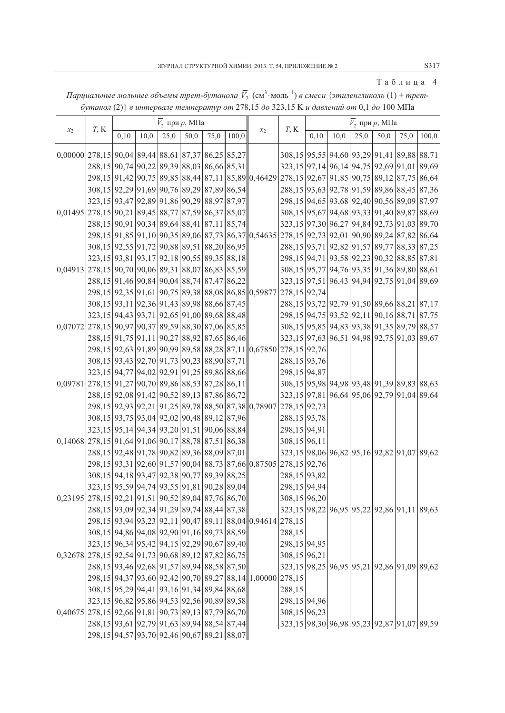Таблица 4

|                                                       |                                                   |      |      |      | $V_2$ при $p$ , МПа |      |       |                                                                                               |                                                               |      |      |      | $V_2$ при $p$ , МПа |      |       |
|-------------------------------------------------------|---------------------------------------------------|------|------|------|---------------------|------|-------|-----------------------------------------------------------------------------------------------|---------------------------------------------------------------|------|------|------|---------------------|------|-------|
| $x_2$                                                 | T, K                                              | 0,10 | 10,0 | 25,0 | 50,0                | 75,0 | 100,0 | $x_2$                                                                                         | T, K                                                          | 0,10 | 10,0 | 25,0 | 50,0                | 75,0 | 100,0 |
| $0,00000$  278,15 90,04 89,44 88,61 87,37 86,25 85,27 |                                                   |      |      |      |                     |      |       |                                                                                               | 308,15 95,55 94,60 93,29 91,41 89,88 88,71                    |      |      |      |                     |      |       |
|                                                       | 288,15 90,74 90,22 89,39 88,03 86,66 85,31        |      |      |      |                     |      |       |                                                                                               | 323, 15 97, 14 96, 14 94, 75 92, 69 91, 01 89, 69             |      |      |      |                     |      |       |
|                                                       |                                                   |      |      |      |                     |      |       | 298,15 91,42 90,75 89,85 88,44 87,11 85,89 0,46429                                            | 278,15 92,67 91,85 90,75 89,12 87,75 86,64                    |      |      |      |                     |      |       |
|                                                       | 308,15 92,29 91,69 90,76 89,29 87,89 86,54        |      |      |      |                     |      |       |                                                                                               | 288,15 93,63 92,78 91,59 89,86 88,45 87,36                    |      |      |      |                     |      |       |
|                                                       | 323, 15 93, 47 92, 89 91, 86 90, 29 88, 97 87, 97 |      |      |      |                     |      |       |                                                                                               | 298,15 94,65 93,68 92,40 90,56 89,09 87,97                    |      |      |      |                     |      |       |
| 0,01495 278,15 90,21 89,45 88,77 87,59 86,37 85,07    |                                                   |      |      |      |                     |      |       |                                                                                               | 308,15 95,67 94,68 93,33 91,40 89,87 88,69                    |      |      |      |                     |      |       |
|                                                       | 288,15 90,91 90,34 89,64 88,41 87,11 85,74        |      |      |      |                     |      |       |                                                                                               | 323, 15 97, 30 96, 27 94, 84 92, 73 91, 03 89, 70             |      |      |      |                     |      |       |
|                                                       |                                                   |      |      |      |                     |      |       | 298,15 91,85 91,10 90,35 89,06 87,73 86,37 0,54635 278,15 92,73 92,01 90,90 89,24 87,82 86,64 |                                                               |      |      |      |                     |      |       |
|                                                       | 308,15 92,55 91,72 90,88 89,51 88,20 86,95        |      |      |      |                     |      |       |                                                                                               | 288, 15 93, 71 92, 82 91, 57 89, 77 88, 33 87, 25             |      |      |      |                     |      |       |
|                                                       | 323,15 93,81 93,17 92,18 90,55 89,35 88,18        |      |      |      |                     |      |       |                                                                                               | 298,15 94,71 93,58 92,23 90,32 88,85 87,81                    |      |      |      |                     |      |       |
| 0,04913 278,15 90,70 90,06 89,31 88,07 86,83 85,59    |                                                   |      |      |      |                     |      |       |                                                                                               | 308,15 95,77 94,76 93,35 91,36 89,80 88,61                    |      |      |      |                     |      |       |
|                                                       | 288, 15 91, 46 90, 84 90, 04 88, 74 87, 47 86, 22 |      |      |      |                     |      |       |                                                                                               | 323, 15 97, 51 96, 43 94, 94 92, 75 91, 04 89, 69             |      |      |      |                     |      |       |
|                                                       |                                                   |      |      |      |                     |      |       | 298,15 92,35 91,61 90,75 89,38 88,08 86,85 0,59877                                            | 278,15 92,74                                                  |      |      |      |                     |      |       |
|                                                       | 308,15 93,11 92,36 91,43 89,98 88,66 87,45        |      |      |      |                     |      |       |                                                                                               | 288,15 93,72 92,79 91,50 89,66 88,21 87,17                    |      |      |      |                     |      |       |
|                                                       | 323, 15 94, 43 93, 71 92, 65 91, 00 89, 68 88, 48 |      |      |      |                     |      |       |                                                                                               | 298, 15   94, 75   93, 52   92, 11   90, 16   88, 71   87, 75 |      |      |      |                     |      |       |
| 0,07072 278,15 90,97 90,37 89,59 88,30 87,06 85,85    |                                                   |      |      |      |                     |      |       |                                                                                               | 308,15 95,85 94,83 93,38 91,35 89,79 88,57                    |      |      |      |                     |      |       |
|                                                       | 288, 15 91, 75 91, 11 90, 27 88, 92 87, 65 86, 46 |      |      |      |                     |      |       |                                                                                               | 323, 15 97, 63 96, 51 94, 98 92, 75 91, 03 89, 67             |      |      |      |                     |      |       |
|                                                       |                                                   |      |      |      |                     |      |       | 298,15 92,63 91,89 90,99 89,58 88,28 87,11 0,67850                                            | 278, 15 92, 76                                                |      |      |      |                     |      |       |
|                                                       | 308, 15 93, 43 92, 70 91, 73 90, 23 88, 90 87, 71 |      |      |      |                     |      |       |                                                                                               | 288,15 93,76                                                  |      |      |      |                     |      |       |
|                                                       | 323, 15 94, 77 94, 02 92, 91 91, 25 89, 86 88, 66 |      |      |      |                     |      |       |                                                                                               | 298,15 94,87                                                  |      |      |      |                     |      |       |
| 0,09781 278,15 91,27 90,70 89,86 88,53 87,28 86,11    |                                                   |      |      |      |                     |      |       |                                                                                               | 308,15 95,98 94,98 93,48 91,39 89,83 88,63                    |      |      |      |                     |      |       |
|                                                       | 288,15 92,08 91,42 90,52 89,13 87,86 86,72        |      |      |      |                     |      |       |                                                                                               | 323, 15 97, 81 96, 64 95, 06 92, 79 91, 04 89, 64             |      |      |      |                     |      |       |
|                                                       |                                                   |      |      |      |                     |      |       | 298,15 92,93 92,21 91,25 89,78 88,50 87,38 0,78907                                            | 278, 15 92, 73                                                |      |      |      |                     |      |       |
|                                                       | 308,15 93,75 93,04 92,02 90,48 89,12 87,96        |      |      |      |                     |      |       |                                                                                               | 288,15 93,78                                                  |      |      |      |                     |      |       |
|                                                       | 323, 15 95, 14 94, 34 93, 20 91, 51 90, 06 88, 84 |      |      |      |                     |      |       |                                                                                               | 298,15 94,91                                                  |      |      |      |                     |      |       |
| 0,14068 278,15 91,64 91,06 90,17 88,78 87,51 86,38    |                                                   |      |      |      |                     |      |       |                                                                                               | 308,15 96,11                                                  |      |      |      |                     |      |       |
|                                                       | 288,15 92,48 91,78 90,82 89,36 88,09 87,01        |      |      |      |                     |      |       |                                                                                               | 323, 15   98, 06   96, 82   95, 16   92, 82   91, 07   89, 62 |      |      |      |                     |      |       |
|                                                       |                                                   |      |      |      |                     |      |       | 298,15 93,31 92,60 91,57 90,04 88,73 87,66 0,87505 278,15 92,76                               |                                                               |      |      |      |                     |      |       |
|                                                       | 308,15 94,18 93,47 92,38 90,77 89,39 88,25        |      |      |      |                     |      |       |                                                                                               | 288,15 93,82                                                  |      |      |      |                     |      |       |
|                                                       | 323, 15 95, 59 94, 74 93, 55 91, 81 90, 28 89, 04 |      |      |      |                     |      |       |                                                                                               | 298,15 94,94                                                  |      |      |      |                     |      |       |
| 0,23195 278,15 92,21 91,51 90,52 89,04 87,76 86,70    |                                                   |      |      |      |                     |      |       |                                                                                               | 308,15 96,20                                                  |      |      |      |                     |      |       |
|                                                       | 288,15 93,09 92,34 91,29 89,74 88,44 87,38        |      |      |      |                     |      |       |                                                                                               | 323, 15 98, 22 96, 95 95, 22 92, 86 91, 11 89, 63             |      |      |      |                     |      |       |
|                                                       |                                                   |      |      |      |                     |      |       | 298,15 93,94 93,23 92,11 90,47 89,11 88,04 0,94614 278,15                                     |                                                               |      |      |      |                     |      |       |
|                                                       | 308,15 94,86 94,08 92,90 91,16 89,73 88,59        |      |      |      |                     |      |       |                                                                                               | 288,15                                                        |      |      |      |                     |      |       |
|                                                       | 323, 15 96, 34 95, 42 94, 15 92, 29 90, 67 89, 40 |      |      |      |                     |      |       |                                                                                               | 298,15 94,95                                                  |      |      |      |                     |      |       |
| 0,32678 278,15 92,54 91,73 90,68 89,12 87,82 86,75    |                                                   |      |      |      |                     |      |       |                                                                                               | 308,15 96,21                                                  |      |      |      |                     |      |       |
|                                                       | 288, 15 93, 46 92, 68 91, 57 89, 94 88, 58 87, 50 |      |      |      |                     |      |       |                                                                                               | 323, 15 98, 25 96, 95 95, 21 92, 86 91, 09 89, 62             |      |      |      |                     |      |       |
|                                                       |                                                   |      |      |      |                     |      |       | 298,15 94,37 93,60 92,42 90,70 89,27 88,14 1,00000 278,15                                     |                                                               |      |      |      |                     |      |       |
|                                                       | 308,15 95,29 94,41 93,16 91,34 89,84 88,68        |      |      |      |                     |      |       |                                                                                               | 288,15                                                        |      |      |      |                     |      |       |
|                                                       | 323,15 96,82 95,86 94,53 92,56 90,89 89,58        |      |      |      |                     |      |       |                                                                                               | 298,15 94,96                                                  |      |      |      |                     |      |       |
| 0,40675 278,15 92,66 91,81 90,73 89,13 87,79 86,70    |                                                   |      |      |      |                     |      |       |                                                                                               | 308,15 96,23                                                  |      |      |      |                     |      |       |
|                                                       | 288,15 93,61 92,79 91,63 89,94 88,54 87,44        |      |      |      |                     |      |       |                                                                                               | 323,15 98,30 96,98 95,23 92,87 91,07 89,59                    |      |      |      |                     |      |       |
|                                                       | 298,15 94,57 93,70 92,46 90,67 89,21 88,07        |      |      |      |                     |      |       |                                                                                               |                                                               |      |      |      |                     |      |       |

Парциальные мольные объемы трет-бутанола  $\bar{V}_2$  (см<sup>3</sup>·моль<sup>-1</sup>) в смеси {этиленгликоль (1) + третбутанол (2)} в интервале температур от 278,15 до 323,15 К и давлений от 0,1 до 100 МПа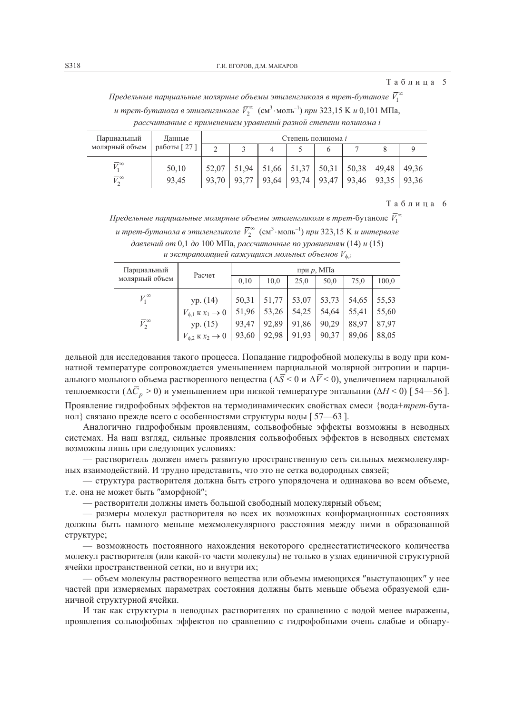Таблина 5

Предельные парциальные молярные объемы этиленгликоля в трет-бутаноле  $\bar{V}_1^{\infty}$ и трет-бутанола в этиленгликоле  $\bar{V}_2^{\infty}$  (см<sup>3</sup>·моль<sup>-1</sup>) при 323,15 К и 0,101 МПа, рассчитанные с применением уравнений разной степени полинома і

| Парциальный                       | Данные         | Степень полинома <i>і</i> |  |  |  |  |                                                                                                      |       |       |  |  |  |
|-----------------------------------|----------------|---------------------------|--|--|--|--|------------------------------------------------------------------------------------------------------|-------|-------|--|--|--|
| молярный объем                    | работы [27]    |                           |  |  |  |  |                                                                                                      |       |       |  |  |  |
| $\frac{1}{\sqrt{2}}\infty$<br>ಕಾ∞ | 50,10<br>93,45 | 52,07<br>93,70            |  |  |  |  | $51,94$   51,66   51,37   50,31   50,38  <br>  93,77   93,64   93,74   93,47   93,46   93,35   93,36 | 49.48 | 49.36 |  |  |  |

Таблица 6

Предельные парциальные молярные объемы этиленгликоля в трет-бутаноле  $\bar{V}_1^{\infty}$ и трет-бутанола в этиленгликоле  $\bar{V}_2^{\infty}$  (см<sup>3</sup> $\cdot$ моль<sup>-1</sup>) при 323,15 К и интервале

давлений от 0,1 до 100 МПа, рассчитанные по уравнениям (14) и (15)

| и экстраполяцией кажущихся мольных объемов $V_{\phi,i}$ |  |
|---------------------------------------------------------|--|
|---------------------------------------------------------|--|

| Парциальный          | Расчет                             | при $p$ , МПа |       |       |       |       |       |  |  |  |  |
|----------------------|------------------------------------|---------------|-------|-------|-------|-------|-------|--|--|--|--|
| молярный объем       |                                    | 0.10          | 10,0  | 25.0  | 50.0  | 75.0  | 100,0 |  |  |  |  |
| $\bar{V}_1^{\infty}$ | yp. (14)                           | 50,31         | 51,77 | 53,07 | 53,73 | 54,65 | 55,53 |  |  |  |  |
|                      | $V_{\phi,1}$ K $x_1 \to 0$         | 51,96         | 53,26 | 54,25 | 54,64 | 55.41 | 55,60 |  |  |  |  |
| $\bar{V}_2^{\infty}$ | yp. (15)                           | 93.47         | 92,89 | 91,86 | 90.29 | 88.97 | 87.97 |  |  |  |  |
|                      | $V_{\phi,2}$ K $x_2 \to 0$   93,60 |               | 92,98 | 91,93 | 90,37 | 89,06 | 88,05 |  |  |  |  |

дельной для исследования такого процесса. Попадание гидрофобной молекулы в воду при комнатной температуре сопровождается уменьшением парциальной молярной энтропии и парциального мольного объема растворенного вещества ( $\Delta \overline{S}$  < 0 и  $\Delta \overline{V}$  < 0), увеличением парциальной теплоемкости ( $\Delta\overline{C}_n$  > 0) и уменьшением при низкой температуре энтальпии ( $\Delta H$  < 0) [54—56]. Проявление гидрофобных эффектов на термодинамических свойствах смеси {вода+трет-бутанол} связано прежде всего с особенностями структуры воды [57-63].

Аналогично гидрофобным проявлениям, сольвофобные эффекты возможны в неводных системах. На наш взгляд, сильные проявления сольвофобных эффектов в неводных системах возможны лишь при следующих условиях:

- растворитель должен иметь развитую пространственную сеть сильных межмолекулярных взаимодействий. И трудно представить, что это не сетка водородных связей;

- структура растворителя должна быть строго упорядочена и одинакова во всем объеме, т.е. она не может быть "аморфной";

— растворители должны иметь большой свободный молекулярный объем;

- размеры молекул растворителя во всех их возможных конформационных состояниях должны быть намного меньше межмолекулярного расстояния между ними в образованной структуре;

- возможность постоянного нахождения некоторого среднестатистического количества молекул растворителя (или какой-то части молекулы) не только в узлах единичной структурной ячейки пространственной сетки, но и внутри их;

- объем молекулы растворенного вещества или объемы имеющихся "выступающих" у нее частей при измеряемых параметрах состояния должны быть меньше объема образуемой единичной структурной ячейки.

И так как структуры в неволных растворителях по сравнению с волой менее выражены. проявления сольвофобных эффектов по сравнению с гидрофобными очень слабые и обнару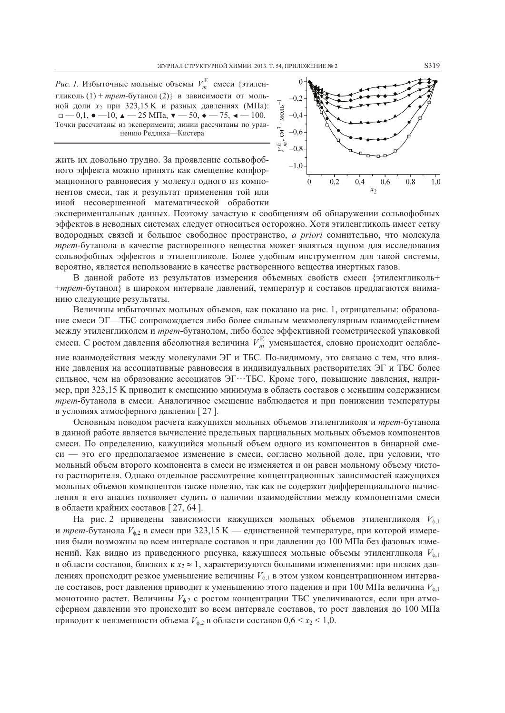*Puc. 1.* Избыточные мольные объемы  $V_m^{\text{E}}$  смеси {этиленгликоль  $(1)$  + *mpem*-бутанол  $(2)$ } в зависимости от мольной доли  $x_2$  при 323,15 К и разных давлениях (МПа):  $-0.1, \bullet -10, \bullet -25$  MIIa,  $\mathbf{v} - 50, \bullet -75, \bullet -100.$ Точки рассчитаны из эксперимента; линии рассчитаны по уравнению Редлиха-Кистера

жить их довольно трудно. За проявление сольвофобного эффекта можно принять как смещение конформационного равновесия у молекул одного из компонентов смеси, так и результат применения той или иной несовершенной математической обработки



экспериментальных данных. Поэтому зачастую к сообщениям об обнаружении сольвофобных эффектов в неводных системах следует относиться осторожно. Хотя этиленгликоль имеет сетку водородных связей и большое свободное пространство, *а priori* сомнительно, что молекула трет-бутанола в качестве растворенного вещества может являться щупом для исследования сольвофобных эффектов в этиленгликоле. Более удобным инструментом для такой системы, вероятно, является использование в качестве растворенного вещества инертных газов.

В данной работе из результатов измерения объемных свойств смеси {этиленгликоль+ +трет-бутанол} в широком интервале давлений, температур и составов предлагаются вниманию следующие результаты.

Величины избыточных мольных объемов, как показано на рис. 1, отрицательны: образование смеси ЭГ—ТБС сопровождается либо более сильным межмолекулярным взаимодействием между этиленгликолем и трет-бутанолом, либо более эффективной геометрической упаковкой смеси. С ростом давления абсолютная величина  $V_m^E$  уменьшается, словно происходит ослабление взаимодействия между молекулами ЭГ и ТБС. По-видимому, это связано с тем, что влияние давления на ассоциативные равновесия в индивидуальных растворителях ЭГ и ТБС более сильное, чем на образование ассоциатов ЭГ ··· ТБС. Кроме того, повышение давления, например, при 323,15 К приводит к смещению минимума в область составов с меньшим содержанием трет-бутанола в смеси. Аналогичное смещение наблюдается и при понижении температуры

в условиях атмосферного давления [27].

Основным поводом расчета кажущихся мольных объемов этиленгликоля и трет-бутанола в данной работе является вычисление предельных парциальных мольных объемов компонентов смеси. По определению, кажущийся мольный объем одного из компонентов в бинарной смеси - это его предполагаемое изменение в смеси, согласно мольной доле, при условии, что мольный объем второго компонента в смеси не изменяется и он равен мольному объему чистого растворителя. Однако отдельное рассмотрение концентрационных зависимостей кажущихся мольных объемов компонентов также полезно, так как не содержит дифференциального вычисления и его анализ позволяет судить о наличии взаимодействии между компонентами смеси в области крайних составов [27, 64].

На рис. 2 приведены зависимости кажущихся мольных объемов этиленгликоля  $V_{\phi,1}$ и трет-бутанола  $V_{\phi,2}$  в смеси при 323,15 К — единственной температуре, при которой измерения были возможны во всем интервале составов и при давлении до 100 МПа без фазовых изменений. Как видно из приведенного рисунка, кажущиеся мольные объемы этиленгликоля  $V_{\phi}$ в области составов, близких к  $x_2 \approx 1$ , характеризуются большими изменениями: при низких давлениях происходит резкое уменьшение величины  $V_{\phi,1}$  в этом узком концентрационном интервале составов, рост давления приводит к уменьшению этого падения и при 100 МПа величина  $V_{\phi,1}$ монотонно растет. Величины  $V_{\phi,2}$  с ростом концентрации ТБС увеличиваются, если при атмосферном давлении это происходит во всем интервале составов, то рост давления до 100 МПа приводит к неизменности объема  $V_{\phi,2}$  в области составов  $0, 6 \le x_2 \le 1, 0$ .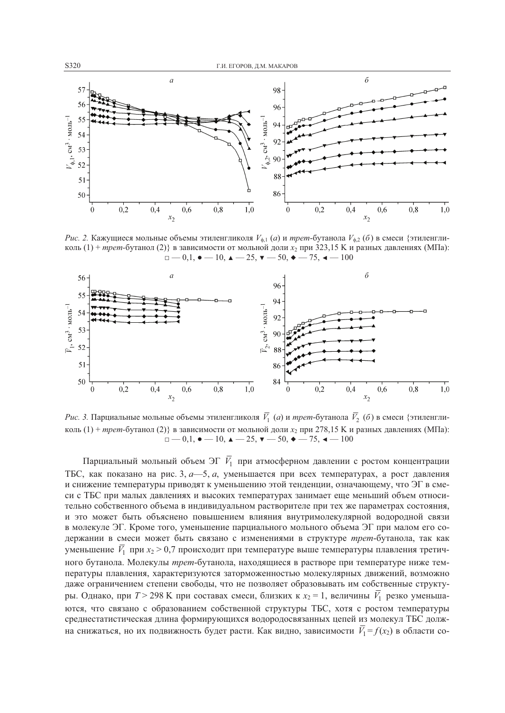

Рис. 2. Кажущиеся мольные объемы этиленгликоля  $V_{\phi,1}$  (а) и трет-бутанола  $V_{\phi,2}$  (б) в смеси {этиленгликоль (1) + трет-бутанол (2)} в зависимости от мольной доли  $x_2$  при 323,15 К и разных давлениях (МПа):  $-0.1, \bullet -10, \bullet -25, \bullet -50, \bullet -75, \bullet -100$ 



*Рис.* 3. Парциальные мольные объемы этиленгликоля  $\bar{V}_1$  (*a*) и *трет*-бутанола  $\bar{V}_2$  (*6*) в смеси {этиленгликоль (1) + трет-бутанол (2)} в зависимости от мольной доли  $x_2$  при 278,15 К и разных давлениях (МПа):  $-0.1, \bullet -10, \bullet -25, \bullet -50, \bullet -75, \bullet -100$ 

Парциальный мольный объем ЭГ  $\bar{V}_1$  при атмосферном давлении с ростом концентрации ТБС, как показано на рис. 3, а-5, а, уменьшается при всех температурах, а рост давления и снижение температуры приводят к уменьшению этой тенденции, означающему, что ЭГ в смеси с ТБС при малых давлениях и высоких температурах занимает еще меньший объем относительно собственного объема в индивидуальном растворителе при тех же параметрах состояния, и это может быть объяснено повышением влияния внутримолекулярной водородной связи в молекуле ЭГ. Кроме того, уменьшение парциального мольного объема ЭГ при малом его содержании в смеси может быть связано с изменениями в структуре трет-бутанола, так как уменьшение  $\bar{V}_1$  при  $x_2 > 0.7$  происходит при температуре выше температуры плавления третичного бутанола. Молекулы трет-бутанола, находящиеся в растворе при температуре ниже температуры плавления, характеризуются заторможенностью молекулярных движений, возможно даже ограничением степени свободы, что не позволяет образовывать им собственные структуры. Однако, при  $T > 298$  К при составах смеси, близких к  $x_2 = 1$ , величины  $\overline{V}_1$  резко уменьшаются, что связано с образованием собственной структуры ТБС, хотя с ростом температуры среднестатистическая длина формирующихся водородосвязанных цепей из молекул ТБС должна снижаться, но их подвижность будет расти. Как видно, зависимости  $\overline{V}_1 = f(x_2)$  в области со-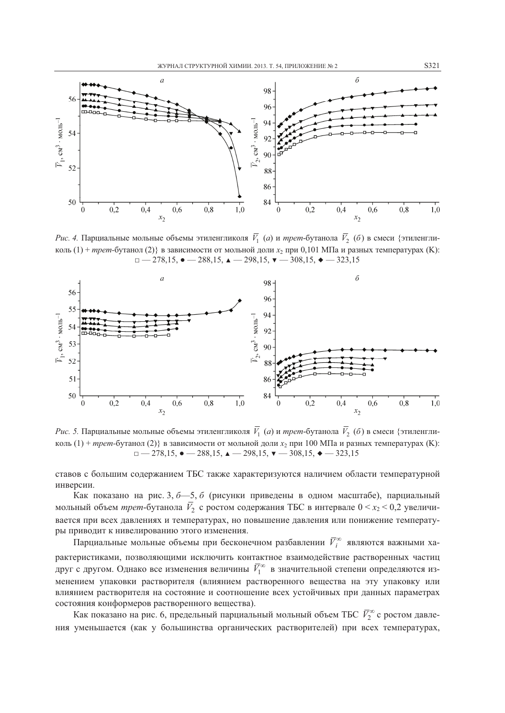

*Рис. 4.* Парциальные мольные объемы этиленгликоля  $\bar{V}_1$  (*a*) и *трет*-бутанола  $\bar{V}_2$  (*6*) в смеси {этиленгликоль (1) + трет-бутанол (2) в зависимости от мольной доли  $x_2$  при 0,101 МПа и разных температурах (К):  $-278,15, \bullet -288,15, \bullet -298,15, \bullet -308,15, \bullet -323,15$ 



*Рис. 5.* Парциальные мольные объемы этиленгликоля  $\bar{V}_1$  (*a*) и *трет*-бутанола  $\bar{V}_2$  (*6*) в смеси {этиленгликоль (1) + трет-бутанол (2)} в зависимости от мольной доли  $x_2$  при 100 МПа и разных температурах (K):  $-278,15, \bullet -288,15, \bullet -298,15, \bullet -308,15, \bullet -323,15$ 

ставов с большим содержанием ТБС также характеризуются наличием области температурной инверсии.

Как показано на рис. 3,  $6$ —5,  $6$  (рисунки приведены в одном масштабе), парциальный мольный объем *трет*-бутанола  $\bar{V}_2$  с ростом содержания ТБС в интервале  $0 \le x_2 \le 0.2$  увеличивается при всех давлениях и температурах, но повышение давления или понижение температуры приводит к нивелированию этого изменения.

Парциальные мольные объемы при бесконечном разбавлении  $\overline{V}_i^{\infty}$  являются важными характеристиками, позволяющими исключить контактное взаимодействие растворенных частиц друг с другом. Однако все изменения величины  $\bar{V}_1^{\infty}$  в значительной степени определяются изменением упаковки растворителя (влиянием растворенного вещества на эту упаковку или влиянием растворителя на состояние и соотношение всех устойчивых при данных параметрах состояния конформеров растворенного вещества).

Как показано на рис. 6, предельный парциальный мольный объем ТБС  $\bar{V}_2^{\infty}$  с ростом давления уменьшается (как у большинства органических растворителей) при всех температурах,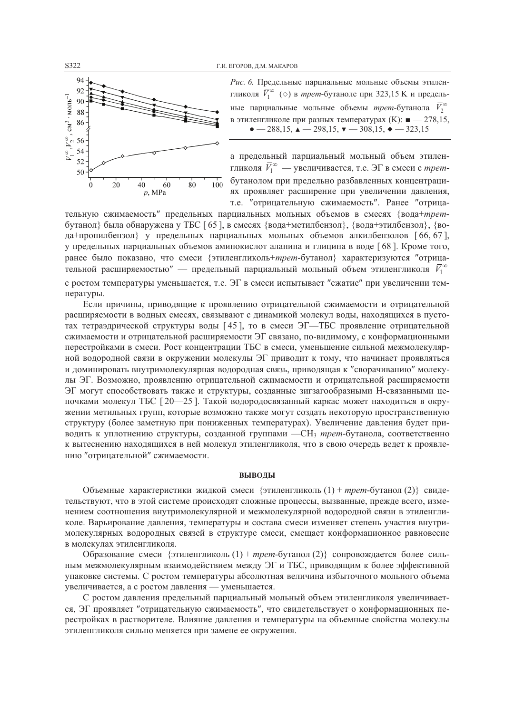İ

 $\mathbf{I}$ 

I



|  | $Puc$ . 6. Предельные парциальные мольные объемы этилен-                                               |  |
|--|--------------------------------------------------------------------------------------------------------|--|
|  | ликоля $\bar{V}_1^{\infty}$ ( $\diamond$ ) в <i>трет</i> -бутаноле при 323,15 К и предель-             |  |
|  | ные парциальные мольные объемы <i>трет</i> -бутанола $\bar{V}_2^{\infty}$                              |  |
|  | з этиленгликоле при разных температурах (K): ■ $-278,15,$                                              |  |
|  | $\bullet$ - 288,15, $\triangle$ - 298,15, $\blacktriangledown$ - 308,15, $\blacktriangledown$ - 323,15 |  |

а предельный парциальный мольный объем этиленгликоля  $\bar{V}_1^{\infty}$  — увеличивается, т.е. ЭГ в смеси с *трет*бутанолом при предельно разбавленных концентрациях проявляет расширение при увеличении давления, т.е. "отрицательную сжимаемость". Ранее "отрица-

тельную сжимаемость" предельных парциальных мольных объемов в смесях {вода+третбутанол} была обнаружена у ТБС [65], в смесях  $\{$ вода+метилбензол},  $\{$ вода+этилбензол},  $\{$ вода+пропилбензол} у предельных парциальных мольных объемов алкилбензолов [66,67], у предельных парциальных объемов аминокислот аланина и глицина в воде [68]. Кроме того, ранее было показано, что смеси {этиленгликоль+трет-бутанол} характеризуются "отрицательной расширяемостью" — предельный парциальный мольный объем этиленгликоля  $V_1^{\infty}$ с ростом температуры уменьшается, т.е. ЭГ в смеси испытывает "сжатие" при увеличении температуры.

Если причины, приводящие к проявлению отрицательной сжимаемости и отрицательной расширяемости в водных смесях, связывают с динамикой молекул воды, находящихся в пустотах тетраэдрической структуры воды [45], то в смеси ЭГ-ТБС проявление отрицательной сжимаемости и отрицательной расширяемости ЭГ связано, по-видимому, с конформационными перестройками в смеси. Рост концентрации ТБС в смеси, уменьшение сильной межмолекулярной водородной связи в окружении молекулы ЭГ приводит к тому, что начинает проявляться и доминировать внутримолекулярная водородная связь, приводящая к "сворачиванию" молекулы ЭГ. Возможно, проявлению отрицательной сжимаемости и отрицательной расширяемости ЭГ могут способствовать также и структуры, созданные зигзагообразными Н-связанными цепочками молекул ТБС [20—25]. Такой водородосвязанный каркас может находиться в окружении метильных групп, которые возможно также могут создать некоторую пространственную структуру (более заметную при пониженных температурах). Увеличение давления будет приводить к уплотнению структуры, созданной группами —СН<sub>3</sub> трет-бутанола, соответственно к вытеснению находящихся в ней молекул этиленгликоля, что в свою очередь ведет к проявлению "отрицательной" сжимаемости.

#### ВЫВОДЫ

Объемные характеристики жидкой смеси {этиленгликоль (1) + трет-бутанол (2)} свидетельствуют, что в этой системе происходят сложные процессы, вызванные, прежде всего, изменением соотношения внутримолекулярной и межмолекулярной водородной связи в этиленгликоле. Варьирование давления, температуры и состава смеси изменяет степень участия внутримолекулярных водородных связей в структуре смеси, смещает конформационное равновесие в молекулах этиленгликоля.

Образование смеси {этиленгликоль (1) + трет-бутанол (2)} сопровождается более сильным межмолекулярным взаимодействием между ЭГ и ТБС, приводящим к более эффективной упаковке системы. С ростом температуры абсолютная величина избыточного мольного объема увеличивается, а с ростом давления - уменьшается.

С ростом давления предельный парциальный мольный объем этиленгликоля увеличивается, ЭГ проявляет "отрицательную сжимаемость", что свидетельствует о конформационных перестройках в растворителе. Влияние давления и температуры на объемные свойства молекулы этиленгликоля сильно меняется при замене ее окружения.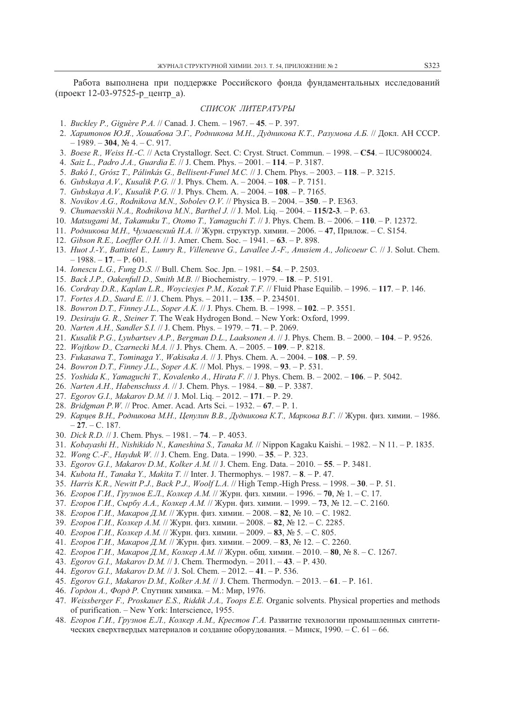Работа выполнена при поддержке Российского фонда фундаментальных исследований (проект 12-03-97525-р центр а).

#### СПИСОК ЛИТЕРАТУРЫ

- 1. *Buckley P., Giguère P.A.* // Canad. J. Chem. 1967. 45. P. 397.
- 2. Харитонов Ю.Я., Хошабова Э.Г., Родникова М.Н., Дудникова К.Т., Разумова А.Б. // Докл. АН СССР.  $-1989. - 304$ , No 4. - C. 917.
- 3. Boese R., Weiss H.-C. // Acta Crystallogr. Sect. C: Cryst. Struct. Commun. 1998. C54. IUC9800024.
- 4. Saiz L., Padro J.A., Guardia E. // J. Chem. Phys. 2001. 114. P. 3187.
- 5. Bakó I., Grósz T., Pálinkás G., Bellisent-Funel M.C. // J. Chem. Phys. 2003. 118. P. 3215.
- 6. Gubskaya A.V., Kusalik P.G. // J. Phys. Chem. A.  $-2004. -108. -P.$  7151.
- 7. Gubskaya A.V., Kusalik P.G. // J. Phys. Chem. A. 2004. 108. P. 7165.
- 8. Novikov A.G., Rodnikova M.N., Sobolev O.V. // Physica B. 2004. 350. P. E363.
- 9. Chumaevskii N.A., Rodnikova M.N., Barthel J. // J. Mol. Liq.  $-2004$ .  $-115/2-3$ .  $P. 63$ .
- 10. Matsugami M., Takamuku T., Otomo T., Yamaguchi T. // J. Phys. Chem. B. 2006. 110. P. 12372.
- 11. Родникова М.Н., Чумаевский Н.А. // Журн. структур. химии. 2006. 47, Прилож. С. S154.
- 12. Gibson R.E., Loeffler O.H. // J. Amer. Chem. Soc. 1941. 63. P. 898.
- 13. Huot J.-Y., Battistel E., Lumry R., Villeneuve G., Lavallee J.-F., Anusiem A., Jolicoeur C. // J. Solut. Chem.  $-1988. -17. - P. 601.$
- 14. *Ionescu L.G., Fung D.S. // Bull. Chem. Soc. Jpn.* 1981. 54. P. 2503.
- 15. Back J.P., Oakenfull D., Smith M.B. // Biochemistry. 1979. 18. P. 5191.
- 16. Cordray D.R., Kaplan L.R., Woyciesjes P.M., Kozak T.F. // Fluid Phase Equilib. 1996. 117. P. 146.
- 17. Fortes A.D., Suard E. // J. Chem. Phys.  $-2011. -135. P. 234501.$
- 18. Bowron D.T., Finney J.L., Soper A.K. // J. Phys. Chem. B. 1998. 102. P. 3551.
- 19. Desiraju G. R., Steiner T. The Weak Hydrogen Bond. New York: Oxford, 1999.
- 20. Narten A.H., Sandler S.I. // J. Chem. Phys. 1979. 71. P. 2069.
- 21. Kusalik P.G., Lyubartsev A.P., Bergman D.L., Laaksonen A. // J. Phys. Chem. B. 2000. 104. P. 9526.
- 22. Wojtkow D., Czarnecki M.A. // J. Phys. Chem. A. 2005. 109. P. 8218.
- 23. Fukasawa T., Tominaga Y., Wakisaka A. // J. Phys. Chem. A. 2004. 108. P. 59.
- 24. Bowron D.T., Finney J.L., Soper A.K. // Mol. Phys. 1998. 93. P. 531.
- 25. Yoshida K., Yamaguchi T., Kovalenko A., Hirata F. // J. Phys. Chem. B. 2002. 106. P. 5042.
- 26. Narten A.H., Habenschuss A. // J. Chem. Phys. 1984. 80. P. 3387.
- 27. Egorov G.I., Makarov D.M. // J. Mol. Liq. 2012. 171. P. 29.
- 28. Bridgman P.W. // Proc. Amer. Acad. Arts Sci. 1932. 67. P. 1.
- 29. Карцев В.Н., Родникова М.Н., Цепулин В.В., Дудникова К.Т., Маркова В.Г. // Журн. физ. химии. 1986.  $-27. - C. 187.$
- 30. *Dick R.D. // J. Chem. Phys.*  $-1981. -74. -P. 4053.$
- 31. Kobayashi H., Nishikido N., Kaneshina S., Tanaka M. // Nippon Kagaku Kaishi. 1982. N 11. P. 1835.
- 32. Wong C.-F., Hayduk W. // J. Chem. Eng. Data. 1990. 35. P. 323.
- 33. Egorov G.I., Makarov D.M., Kolker A.M. // J. Chem. Eng. Data. 2010. 55. P. 3481.
- 34. Kubota H., Tanaka Y., Makita T. // Inter. J. Thermophys.  $1987. 8. P. 47.$
- 35. Harris K.R., Newitt P.J., Back P.J., Woolf L.A. // High Temp.-High Press. 1998. 30. P. 51.
- 36. Егоров Г.И., Грузнов Е.Л., Колкер А.М. // Журн. физ. химии. 1996. 70, № 1. С. 17.
- 37. Егоров Г.И., Сырбу А.А., Колкер А.М. // Журн. физ. химии. 1999. 73, № 12. С. 2160.
- 38. Егоров Г.И., Макаров Д.М. // Журн. физ. химии. 2008. 82, № 10. С. 1982.
- 39. Егоров Г.И., Колкер А.М. // Журн. физ. химии. 2008. 82, № 12. С. 2285.
- 40. Егоров Г.И., Колкер А.М. // Журн. физ. химии. 2009. 83, № 5. С. 805.
- 41. Егоров Г.И., Макаров Д.М. // Журн. физ. химии. 2009. 83, № 12. С. 2260.
- 42. Егоров Г.И., Макаров Д.М., Колкер А.М. // Журн. общ. химии. 2010. 80, № 8. С. 1267.
- 43. Egorov G.I., Makarov D.M. // J. Chem. Thermodyn. 2011. 43. P. 430.
- 44. Egorov G.I., Makarov D.M. // J. Sol. Chem. 2012. 41. P. 536.
- 45. Egorov G.I., Makarov D.M., Kolker A.M. // J. Chem. Thermodyn. 2013. 61. P. 161.
- 46. Гордон А., Форд Р. Спутник химика. М.: Мир, 1976.
- 47. Weissberger F., Proskauer E.S., Riddik J.A., Toops E.E. Organic solvents. Physical properties and methods of purification. - New York: Interscience, 1955.
- 48. Егоров Г.И., Грузнов Е.Л., Колкер А.М., Крестов Г.А. Развитие технологии промышленных синтетических сверхтвердых материалов и создание оборудования. - Минск, 1990. - С. 61 - 66.